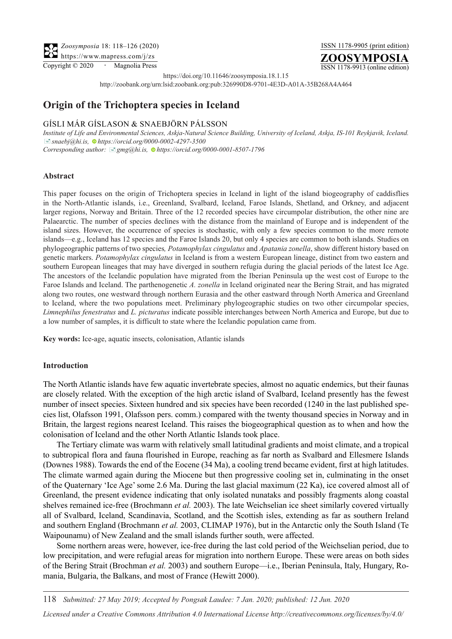Copyright © 2020 **·** Magnolia Press

ISSN 1178-9905 (print edition)



ISSN 1178-9913 (online edition)

https://doi.org/10.11646/zoosymposia.18.1.15

http://zoobank.org/urn:lsid:zoobank.org:pub:326990D8-9701-4E3D-A01A-35B268A4A464

# **Origin of the Trichoptera species in Iceland**

# Gísli Már Gíslason & Snaebjörn Pálsson

*Institute of Life and Environmental Sciences, Askja-Natural Science Building, University of Iceland, Askja, IS-101 Reykjavik, Iceland.*  [�](mailto:snaebj@hi.is)*snaebj@hi.is, [h](https://orcid.org/0000-0002-4297-3500)ttps://orcid.org/0000-0002-4297-3500 Corresponding author:* [�](mailto:gmg@hi.is)*gmg@hi.is[, h](https://orcid.org/0000-0001-8507-1796)ttps://orcid.org/0000-0001-8507-1796*

#### **Abstract**

This paper focuses on the origin of Trichoptera species in Iceland in light of the island biogeography of caddisflies in the North-Atlantic islands, i.e., Greenland, Svalbard, Iceland, Faroe Islands, Shetland, and Orkney, and adjacent larger regions, Norway and Britain. Three of the 12 recorded species have circumpolar distribution, the other nine are Palaearctic. The number of species declines with the distance from the mainland of Europe and is independent of the island sizes. However, the occurrence of species is stochastic, with only a few species common to the more remote islands—e.g., Iceland has 12 species and the Faroe Islands 20, but only 4 species are common to both islands. Studies on phylogeographic patterns of two species*, Potamophylax cingulatus* and *Apatania zonella*, show different history based on genetic markers. *Potamophylax cingulatus* in Iceland is from a western European lineage, distinct from two eastern and southern European lineages that may have diverged in southern refugia during the glacial periods of the latest Ice Age. The ancestors of the Icelandic population have migrated from the Iberian Peninsula up the west cost of Europe to the Faroe Islands and Iceland. The parthenogenetic *A. zonella* in Iceland originated near the Bering Strait, and has migrated along two routes, one westward through northern Eurasia and the other eastward through North America and Greenland to Iceland, where the two populations meet. Preliminary phylogeographic studies on two other circumpolar species, *Limnephilus fenestratus* and *L. picturatus* indicate possible interchanges between North America and Europe, but due to a low number of samples, it is difficult to state where the Icelandic population came from.

**Key words:** Ice-age, aquatic insects, colonisation, Atlantic islands

#### **Introduction**

The North Atlantic islands have few aquatic invertebrate species, almost no aquatic endemics, but their faunas are closely related. With the exception of the high arctic island of Svalbard, Iceland presently has the fewest number of insect species. Sixteen hundred and six species have been recorded (1240 in the last published species list, Olafsson 1991, Olafsson pers. comm.) compared with the twenty thousand species in Norway and in Britain, the largest regions nearest Iceland. This raises the biogeographical question as to when and how the colonisation of Iceland and the other North Atlantic Islands took place.

The Tertiary climate was warm with relatively small latitudinal gradients and moist climate, and a tropical to subtropical flora and fauna flourished in Europe, reaching as far north as Svalbard and Ellesmere Islands (Downes 1988). Towards the end of the Eocene (34 Ma), a cooling trend became evident, first at high latitudes. The climate warmed again during the Miocene but then progressive cooling set in, culminating in the onset of the Quaternary 'Ice Age' some 2.6 Ma. During the last glacial maximum (22 Ka), ice covered almost all of Greenland, the present evidence indicating that only isolated nunataks and possibly fragments along coastal shelves remained ice-free (Brochmann *et al.* 2003). The late Weichselian ice sheet similarly covered virtually all of Svalbard, Iceland, Scandinavia, Scotland, and the Scottish isles, extending as far as southern Ireland and southern England (Brochmann *et al.* 2003, CLIMAP 1976), but in the Antarctic only the South Island (Te Waipounamu) of New Zealand and the small islands further south, were affected.

Some northern areas were, however, ice-free during the last cold period of the Weichselian period, due to low precipitation, and were refugial areas for migration into northern Europe. These were areas on both sides of the Bering Strait (Brochman *et al.* 2003) and southern Europe—i.e., Iberian Peninsula, Italy, Hungary, Romania, Bulgaria, the Balkans, and most of France (Hewitt 2000).

118 *Submitted: 27 May 2019; Accepted by Pongsak Laudee: 7 Jan. 2020; published: 12 Jun. 2020*

*Licensed under a Creative Commons Attribution 4.0 International License http://creativecommons.org/licenses/by/4.0/*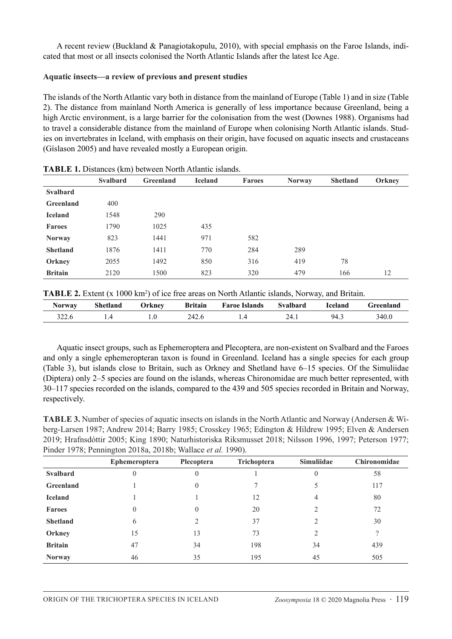A recent review (Buckland & Panagiotakopulu, 2010), with special emphasis on the Faroe Islands, indicated that most or all insects colonised the North Atlantic Islands after the latest Ice Age.

### **Aquatic insects—a review of previous and present studies**

The islands of the North Atlantic vary both in distance from the mainland of Europe (Table 1) and in size (Table 2). The distance from mainland North America is generally of less importance because Greenland, being a high Arctic environment, is a large barrier for the colonisation from the west (Downes 1988). Organisms had to travel a considerable distance from the mainland of Europe when colonising North Atlantic islands. Studies on invertebrates in Iceland, with emphasis on their origin, have focused on aquatic insects and crustaceans (Gíslason 2005) and have revealed mostly a European origin.

|                  | <b>Svalbard</b> | Greenland | <b>Iceland</b> | <b>Faroes</b> | <b>Norway</b> | <b>Shetland</b> | Orkney |
|------------------|-----------------|-----------|----------------|---------------|---------------|-----------------|--------|
| <b>Svalbard</b>  |                 |           |                |               |               |                 |        |
| <b>Greenland</b> | 400             |           |                |               |               |                 |        |
| <b>Iceland</b>   | 1548            | 290       |                |               |               |                 |        |
| <b>Faroes</b>    | 1790            | 1025      | 435            |               |               |                 |        |
| <b>Norway</b>    | 823             | 1441      | 971            | 582           |               |                 |        |
| <b>Shetland</b>  | 1876            | 1411      | 770            | 284           | 289           |                 |        |
| Orkney           | 2055            | 1492      | 850            | 316           | 419           | 78              |        |
| <b>Britain</b>   | 2120            | 1500      | 823            | 320           | 479           | 166             | 12     |

**Table 1.** Distances (km) between North Atlantic islands.

|  |  | TABLE 2. Extent (x 1000 km <sup>2</sup> ) of ice free areas on North Atlantic islands, Norway, and Britain. |
|--|--|-------------------------------------------------------------------------------------------------------------|
|--|--|-------------------------------------------------------------------------------------------------------------|

| <b>Norway</b> | Shetland | Orknev | <b>Britain</b> | <b>Faroe Islands</b> | <b>Svalbard</b> | Iceland | Freenland |
|---------------|----------|--------|----------------|----------------------|-----------------|---------|-----------|
| 322.6         |          |        | 242.6          |                      | 24.1            | -94.    | 340.0     |

Aquatic insect groups, such as Ephemeroptera and Plecoptera, are non-existent on Svalbard and the Faroes and only a single ephemeropteran taxon is found in Greenland. Iceland has a single species for each group (Table 3), but islands close to Britain, such as Orkney and Shetland have 6–15 species. Of the Simuliidae (Diptera) only 2–5 species are found on the islands, whereas Chironomidae are much better represented, with 30–117 species recorded on the islands, compared to the 439 and 505 species recorded in Britain and Norway, respectively.

**Table 3.** Number of species of aquatic insects on islands in the North Atlantic and Norway (Andersen & Wiberg-Larsen 1987; Andrew 2014; Barry 1985; Crosskey 1965; Edington & Hildrew 1995; Elven & Andersen 2019; Hrafnsdóttir 2005; King 1890; Naturhistoriska Riksmusset 2018; Nilsson 1996, 1997; Peterson 1977; Pinder 1978; Pennington 2018a, 2018b; Wallace *et al.* 1990).

|                  | <b>Ephemeroptera</b> | Plecoptera | Trichoptera | <b>Simuliidae</b> | <b>Chironomidae</b> |
|------------------|----------------------|------------|-------------|-------------------|---------------------|
| <b>Svalbard</b>  | $\theta$             | $\theta$   |             | $\theta$          | 58                  |
| <b>Greenland</b> |                      | $\theta$   |             | 5                 | 117                 |
| <b>Iceland</b>   |                      |            | 12          | 4                 | 80                  |
| <b>Faroes</b>    | $\theta$             | $\theta$   | 20          | 2                 | 72                  |
| <b>Shetland</b>  | 6                    | ∍          | 37          | 2                 | 30                  |
| Orkney           | 15                   | 13         | 73          | 2                 | $\overline{?}$      |
| <b>Britain</b>   | 47                   | 34         | 198         | 34                | 439                 |
| <b>Norway</b>    | 46                   | 35         | 195         | 45                | 505                 |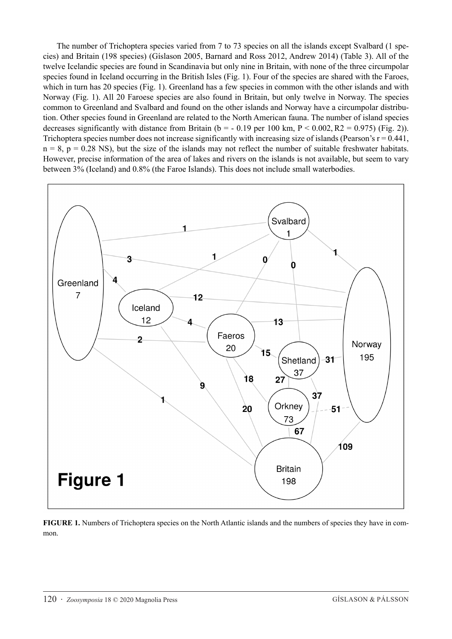The number of Trichoptera species varied from 7 to 73 species on all the islands except Svalbard (1 species) and Britain (198 species) (Gíslason 2005, Barnard and Ross 2012, Andrew 2014) (Table 3). All of the twelve Icelandic species are found in Scandinavia but only nine in Britain, with none of the three circumpolar species found in Iceland occurring in the British Isles (Fig. 1). Four of the species are shared with the Faroes, which in turn has 20 species (Fig. 1). Greenland has a few species in common with the other islands and with Norway (Fig. 1). All 20 Faroese species are also found in Britain, but only twelve in Norway. The species common to Greenland and Svalbard and found on the other islands and Norway have a circumpolar distribution. Other species found in Greenland are related to the North American fauna. The number of island species decreases significantly with distance from Britain ( $b = -0.19$  per 100 km,  $P < 0.002$ ,  $R2 = 0.975$ ) (Fig. 2)). Trichoptera species number does not increase significantly with increasing size of islands (Pearson's  $r = 0.441$ ,  $n = 8$ ,  $p = 0.28$  NS), but the size of the islands may not reflect the number of suitable freshwater habitats. However, precise information of the area of lakes and rivers on the islands is not available, but seem to vary between 3% (Iceland) and 0.8% (the Faroe Islands). This does not include small waterbodies.



**FIGURE 1.** Numbers of Trichoptera species on the North Atlantic islands and the numbers of species they have in common.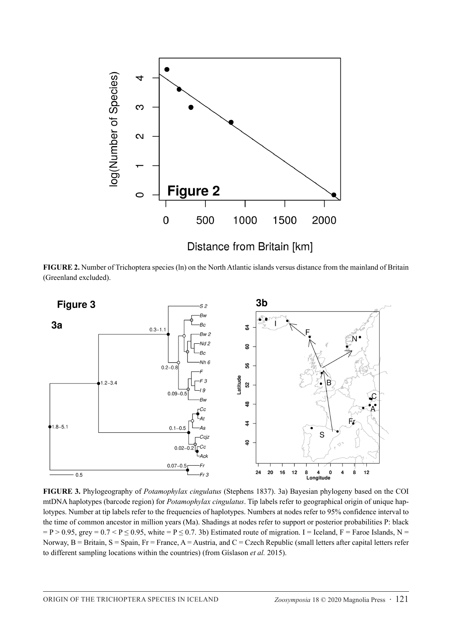

**FIGURE 2.** Number of Trichoptera species (ln) on the North Atlantic islands versus distance from the mainland of Britain (Greenland excluded).



**FIGURE 3.** Phylogeography of *Potamophylax cingulatus* (Stephens 1837). 3a) Bayesian phylogeny based on the COI mtDNA haplotypes (barcode region) for *Potamophylax cingulatus*. Tip labels refer to geographical origin of unique haplotypes. Number at tip labels refer to the frequencies of haplotypes. Numbers at nodes refer to 95% confidence interval to the time of common ancestor in million years (Ma). Shadings at nodes refer to support or posterior probabilities P: black  $= P > 0.95$ , grey  $= 0.7 < P \le 0.95$ , white  $= P \le 0.7$ . 3b) Estimated route of migration. I = Iceland, F = Faroe Islands, N = Norway,  $B =$  Britain,  $S =$  Spain,  $Fr =$  France,  $A =$  Austria, and  $C =$  Czech Republic (small letters after capital letters refer to different sampling locations within the countries) (from Gíslason *et al.* 2015).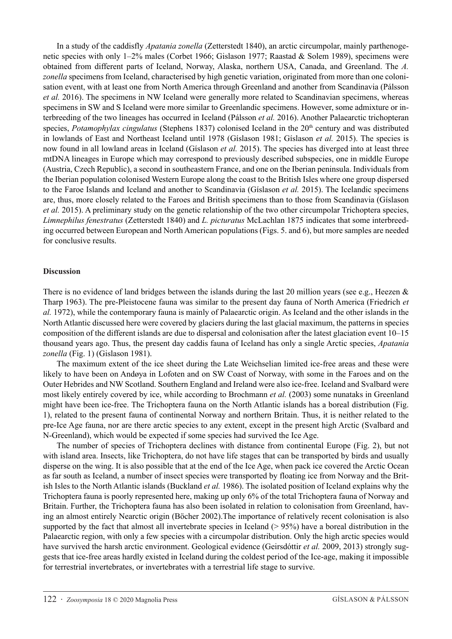In a study of the caddisfly *Apatania zonella* (Zetterstedt 1840), an arctic circumpolar, mainly parthenogenetic species with only 1–2% males (Corbet 1966; Gislason 1977; Raastad & Solem 1989), specimens were obtained from different parts of Iceland, Norway, Alaska, northern USA, Canada, and Greenland. The *A. zonella* specimens from Iceland, characterised by high genetic variation, originated from more than one colonisation event, with at least one from North America through Greenland and another from Scandinavia (Pálsson *et al.* 2016). The specimens in NW Iceland were generally more related to Scandinavian specimens, whereas specimens in SW and S Iceland were more similar to Greenlandic specimens. However, some admixture or interbreeding of the two lineages has occurred in Iceland (Pálsson *et al.* 2016). Another Palaearctic trichopteran species, *Potamophylax cingulatus* (Stephens 1837) colonised Iceland in the 20<sup>th</sup> century and was distributed in lowlands of East and Northeast Iceland until 1978 (Gíslason 1981; Gíslason *et al.* 2015). The species is now found in all lowland areas in Iceland (Gíslason *et al.* 2015). The species has diverged into at least three mtDNA lineages in Europe which may correspond to previously described subspecies, one in middle Europe (Austria, Czech Republic), a second in southeastern France, and one on the Iberian peninsula. Individuals from the Iberian population colonised Western Europe along the coast to the British Isles where one group dispersed to the Faroe Islands and Iceland and another to Scandinavia (Gíslason *et al.* 2015). The Icelandic specimens are, thus, more closely related to the Faroes and British specimens than to those from Scandinavia (Gíslason *et al.* 2015). A preliminary study on the genetic relationship of the two other circumpolar Trichoptera species, *Limnephilus fenestratus* (Zetterstedt 1840) and *L. picturatus* McLachlan 1875 indicates that some interbreeding occurred between European and North American populations (Figs. 5. and 6), but more samples are needed for conclusive results.

# **Discussion**

There is no evidence of land bridges between the islands during the last 20 million years (see e.g., Heezen & Tharp 1963). The pre-Pleistocene fauna was similar to the present day fauna of North America (Friedrich *et al.* 1972), while the contemporary fauna is mainly of Palaearctic origin. As Iceland and the other islands in the North Atlantic discussed here were covered by glaciers during the last glacial maximum, the patterns in species composition of the different islands are due to dispersal and colonisation after the latest glaciation event 10–15 thousand years ago. Thus, the present day caddis fauna of Iceland has only a single Arctic species, *Apatania zonella* (Fig. 1) (Gislason 1981).

The maximum extent of the ice sheet during the Late Weichselian limited ice-free areas and these were likely to have been on Andøya in Lofoten and on SW Coast of Norway, with some in the Faroes and on the Outer Hebrides and NW Scotland. Southern England and Ireland were also ice-free. Iceland and Svalbard were most likely entirely covered by ice, while according to Brochmann *et al.* (2003) some nunataks in Greenland might have been ice-free. The Trichoptera fauna on the North Atlantic islands has a boreal distribution (Fig. 1), related to the present fauna of continental Norway and northern Britain. Thus, it is neither related to the pre-Ice Age fauna, nor are there arctic species to any extent, except in the present high Arctic (Svalbard and N-Greenland), which would be expected if some species had survived the Ice Age.

The number of species of Trichoptera declines with distance from continental Europe (Fig. 2), but not with island area. Insects, like Trichoptera, do not have life stages that can be transported by birds and usually disperse on the wing. It is also possible that at the end of the Ice Age, when pack ice covered the Arctic Ocean as far south as Iceland, a number of insect species were transported by floating ice from Norway and the British Isles to the North Atlantic islands (Buckland *et al.* 1986). The isolated position of Iceland explains why the Trichoptera fauna is poorly represented here, making up only 6% of the total Trichoptera fauna of Norway and Britain. Further, the Trichoptera fauna has also been isolated in relation to colonisation from Greenland, having an almost entirely Nearctic origin (Böcher 2002).The importance of relatively recent colonisation is also supported by the fact that almost all invertebrate species in Iceland (> 95%) have a boreal distribution in the Palaearctic region, with only a few species with a circumpolar distribution. Only the high arctic species would have survived the harsh arctic environment. Geological evidence (Geirsdóttir *et al.* 2009, 2013) strongly suggests that ice-free areas hardly existed in Iceland during the coldest period of the Ice-age, making it impossible for terrestrial invertebrates, or invertebrates with a terrestrial life stage to survive.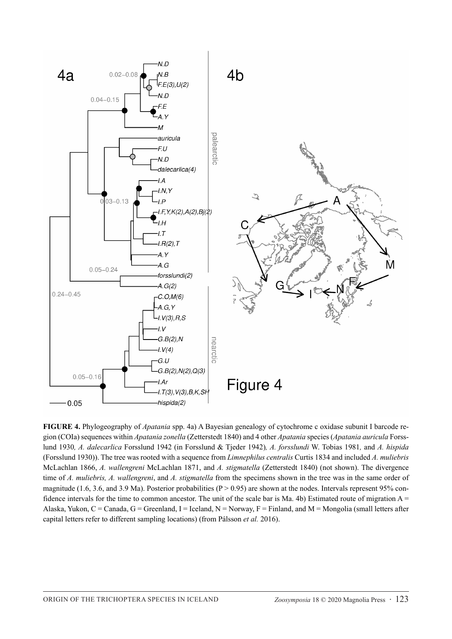

**FIGURE 4.** Phylogeography of *Apatania* spp. 4a) A Bayesian genealogy of cytochrome c oxidase subunit I barcode region (COIa) sequences within *Apatania zonella* (Zetterstedt 1840) and 4 other *Apatania* species (*Apatania auricula* Forsslund 1930*, A. dalecarlica* Forsslund 1942 (in Forsslund & Tjeder 1942)*, A. forsslundi* W. Tobias 1981*,* and *A. hispida*  (Forsslund 1930)). The tree was rooted with a sequence from *Limnephilus centralis* Curtis 1834 and included *A. muliebris* McLachlan 1866, *A. wallengreni* McLachlan 1871, and *A. stigmatella* (Zetterstedt 1840) (not shown). The divergence time of *A. muliebris, A. wallengreni*, and *A. stigmatella* from the specimens shown in the tree was in the same order of magnitude (1.6, 3.6, and 3.9 Ma). Posterior probabilities ( $P > 0.95$ ) are shown at the nodes. Intervals represent 95% confidence intervals for the time to common ancestor. The unit of the scale bar is Ma. 4b) Estimated route of migration  $A =$ Alaska, Yukon, C = Canada, G = Greenland, I = Iceland, N = Norway, F = Finland, and M = Mongolia (small letters after capital letters refer to different sampling locations) (from Pálsson *et al.* 2016).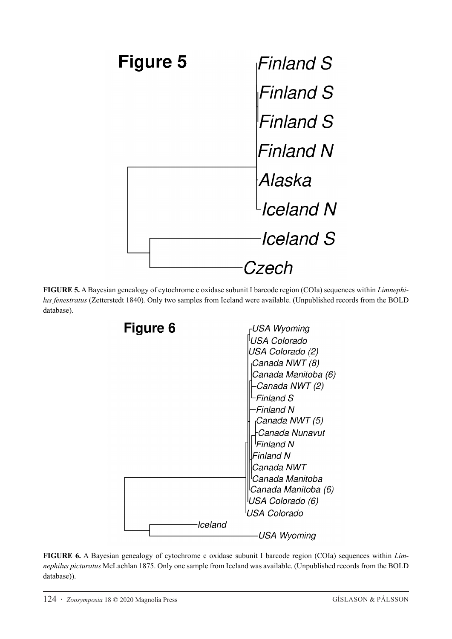

**FIGURE 5.** A Bayesian genealogy of cytochrome c oxidase subunit I barcode region (COIa) sequences within *Limnephilus fenestratus* (Zetterstedt 1840)*.* Only two samples from Iceland were available. (Unpublished records from the BOLD database).



**FIGURE 6.** A Bayesian genealogy of cytochrome c oxidase subunit I barcode region (COIa) sequences within *Limnephilus picturatus* McLachlan 1875. Only one sample from Iceland was available. (Unpublished records from the BOLD database)).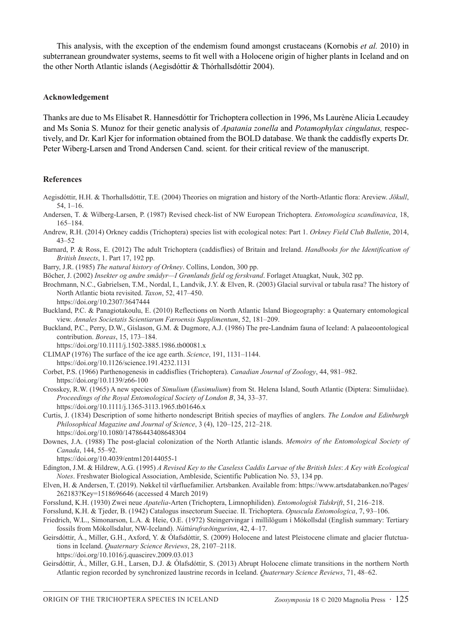This analysis, with the exception of the endemism found amongst crustaceans (Kornobis *et al.* 2010) in subterranean groundwater systems, seems to fit well with a Holocene origin of higher plants in Iceland and on the other North Atlantic islands (Aegisdóttir & Thórhallsdóttir 2004).

#### **Acknowledgement**

Thanks are due to Ms Elísabet R. Hannesdóttir for Trichoptera collection in 1996, Ms Laurène Alicia Lecaudey and Ms Sonia S. Munoz for their genetic analysis of *Apatania zonella* and *Potamophylax cingulatus,* respectively, and Dr. Karl Kjer for information obtained from the BOLD database. We thank the caddisfly experts Dr. Peter Wiberg-Larsen and Trond Andersen Cand. scient. for their critical review of the manuscript.

#### **References**

- Aegisdóttir, H.H. & Thorhallsdóttir, T.E. (2004) Theories on migration and history of the North-Atlantic flora: Areview. *Jökull*, 54, 1–16.
- Andersen, T. & Wilberg-Larsen, P. (1987) Revised check-list of NW European Trichoptera. *Entomologica scandinavica*, 18, 165–184.
- Andrew, R.H. (2014) Orkney caddis (Trichoptera) species list with ecological notes: Part 1. *Orkney Field Club Bulletin*, 2014, 43–52
- Barnard, P. & Ross, E. (2012) The adult Trichoptera (caddisflies) of Britain and Ireland. *Handbooks for the Identification of British Insects*, 1. Part 17, 192 pp.
- Barry, J.R. (1985) *The natural history of Orkney*. Collins, London, 300 pp.
- Böcher, J. (2002) *Insekter og andre smådyr—I Grønlands fjeld og ferskvand*. Forlaget Atuagkat, Nuuk, 302 pp.
- Brochmann, N.C., Gabrielsen, T.M., Nordal, I., Landvik, J.Y. & Elven, R. (2003) Glacial survival or tabula rasa? The history of North Atlantic biota revisited. *Taxon*, 52, 417–450.
	- https://doi.org/10.2307/3647444
- Buckland, P.C. & Panagiotakoulu, E. (2010) Reflections on North Atlantic Island Biogeography: a Quaternary entomological view. *Annales Societatis Scientiarum Færoensis Supplimentum*, 52, 181–209.
- Buckland, P.C., Perry, D.W., Gíslason, G.M. & Dugmore, A.J. (1986) The pre-Landnám fauna of Iceland: A palaeoontological contribution. *Boreas*, 15, 173–184.
- https://doi.org/10.1111/j.1502-3885.1986.tb00081.x CLIMAP (1976) The surface of the ice age earth. *Science*, 191, 1131–1144. https://doi.org/10.1126/science.191.4232.1131
- Corbet, P.S. (1966) Parthenogenesis in caddisflies (Trichoptera). *Canadian Journal of Zoology*, 44, 981–982. https://doi.org/10.1139/z66-100
- Crosskey, R.W. (1965) A new species of *Simulium* (*Eusimulium*) from St. Helena Island, South Atlantic (Diptera: Simuliidae). *Proceedings of the Royal Entomological Society of London B*, 34, 33–37. https://doi.org/10.1111/j.1365-3113.1965.tb01646.x
- Curtis, J. (1834) Description of some hitherto nondescript British species of mayflies of anglers. *The London and Edinburgh Philosophical Magazine and Journal of Science*, 3 (4), 120–125, 212–218. https://doi.org/10.1080/14786443408648304
- Downes, J.A. (1988) The post-glacial colonization of the North Atlantic islands. *Memoirs of the Entomological Society of Canada*, 144, 55–92.
	- https://doi.org/10.4039/entm120144055-1
- Edington, J.M. & Hildrew, A.G. (1995) *A Revised Key to the Caseless Caddis Larvae of the British Isles*: *A Key with Ecological Notes*. Freshwater Biological Association, Ambleside, Scientific Publication No. 53, 134 pp.
- Elven, H. & Andersen, T. (2019). Nøkkel til vårfluefamilier. Artsbanken. Available from: [https://www.artsdatabanken.no/Pages/](https://www.artsdatabanken.no/Pages/262183?Key=1518696646) [262183?Key=1518696646](https://www.artsdatabanken.no/Pages/262183?Key=1518696646) (accessed 4 March 2019)
- Forsslund, K.H. (1930) Zwei neue *Apatelia*-Arten (Trichoptera, Limnophiliden). *Entomologisk Tidskrift*, 51, 216–218.
- Forsslund, K.H. & Tjeder, B. (1942) Catalogus insectorum Sueciae. II. Trichoptera. *Opuscula Entomologica*, 7, 93–106.
- Friedrich, W.L., Símonarson, L.A. & Heie, O.E. (1972) Steingervingar í millilögum í Mókollsdal (English summary: Tertiary fossils from Mókollsdalur, NW-Iceland). *Náttúrufræðingurinn*, 42, 4–17.
- Geirsdóttir, Á., Miller, G.H., Axford, Y. & Ólafsdóttir, S. (2009) Holocene and latest Pleistocene climate and glacier flutctuations in Iceland. *Quaternary Science Reviews*, 28, 2107–2118.
	- https://doi.org/10.1016/j.quascirev.2009.03.013
- Geirsdóttir, Á., Miller, G.H., Larsen, D.J. & Ólafsdóttir, S. (2013) Abrupt Holocene climate transitions in the northern North Atlantic region recorded by synchronized laustrine records in Iceland. *Quaternary Science Reviews*, 71, 48–62.